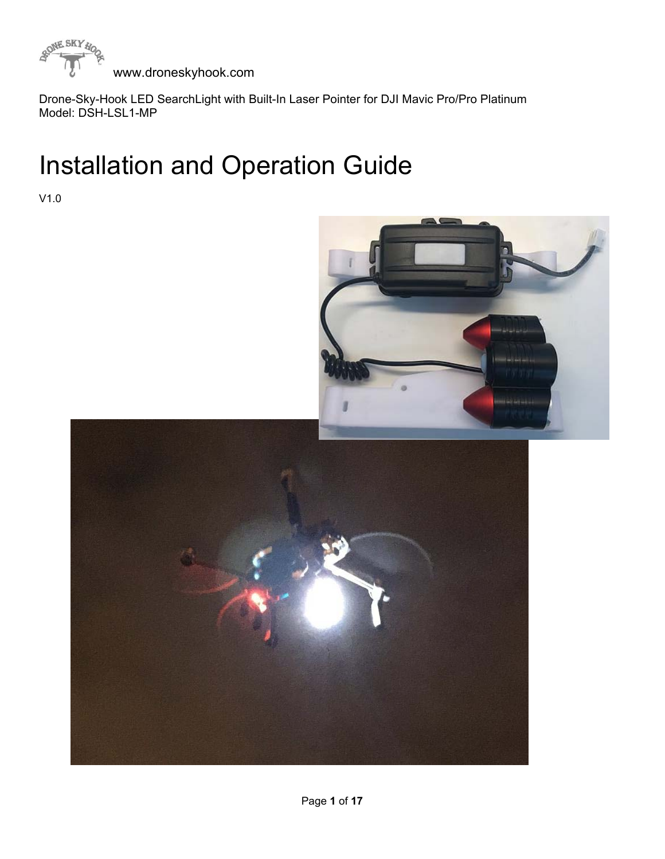

Drone-Sky-Hook LED SearchLight with Built-In Laser Pointer for DJI Mavic Pro/Pro Platinum Model: DSH-LSL1-MP

# Installation and Operation Guide

V1.0

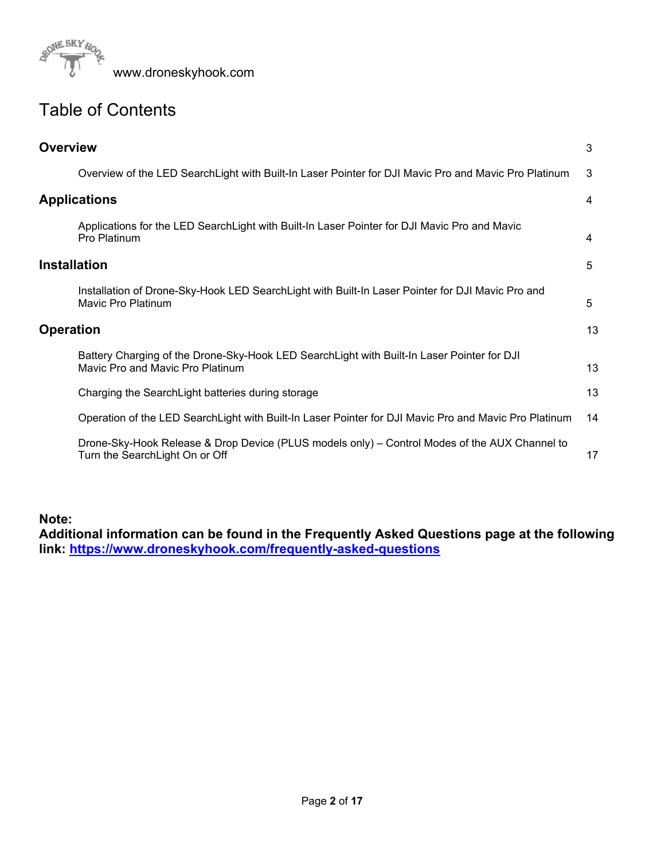

# Table of Contents

| <b>Overview</b> |                                                                                                                                 | 3  |  |
|-----------------|---------------------------------------------------------------------------------------------------------------------------------|----|--|
|                 | Overview of the LED SearchLight with Built-In Laser Pointer for DJI Mavic Pro and Mavic Pro Platinum                            | 3  |  |
|                 | Applications                                                                                                                    | 4  |  |
|                 | Applications for the LED SearchLight with Built-In Laser Pointer for DJI Mavic Pro and Mavic<br>Pro Platinum                    | 4  |  |
|                 | Installation                                                                                                                    |    |  |
|                 | Installation of Drone-Sky-Hook LED SearchLight with Built-In Laser Pointer for DJI Mavic Pro and<br>Mavic Pro Platinum          | 5  |  |
|                 | <b>Operation</b>                                                                                                                |    |  |
|                 | Battery Charging of the Drone-Sky-Hook LED SearchLight with Built-In Laser Pointer for DJI<br>Mavic Pro and Mavic Pro Platinum  | 13 |  |
|                 | Charging the Search Light batteries during storage                                                                              | 13 |  |
|                 | Operation of the LED SearchLight with Built-In Laser Pointer for DJI Mavic Pro and Mavic Pro Platinum                           | 14 |  |
|                 | Drone-Sky-Hook Release & Drop Device (PLUS models only) – Control Modes of the AUX Channel to<br>Turn the SearchLight On or Off | 17 |  |

**Note:** 

**Additional information can be found in the Frequently Asked Questions page at the following link: https://www.droneskyhook.com/frequently-asked-questions**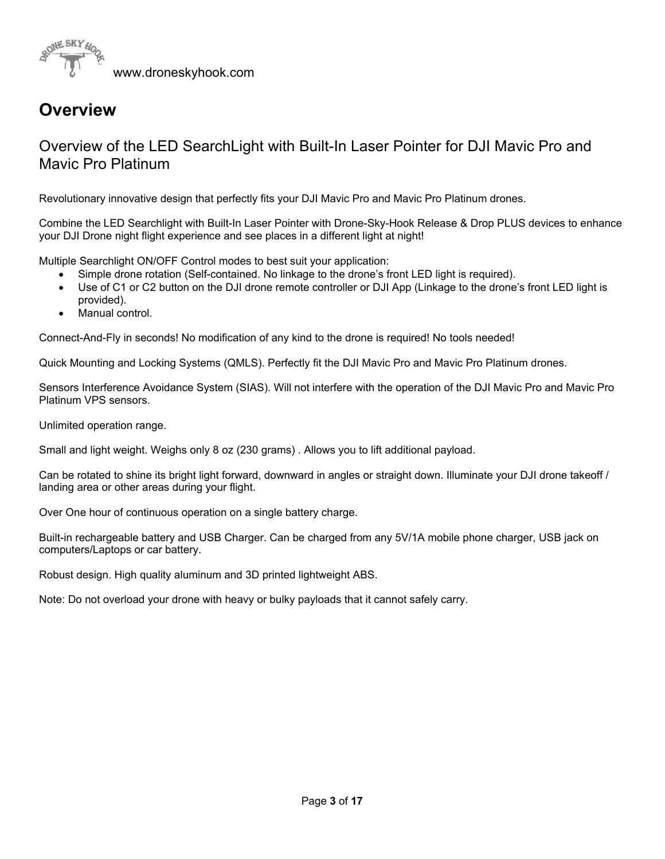

# **Overview**

## Overview of the LED SearchLight with Built-In Laser Pointer for DJI Mavic Pro and Mavic Pro Platinum

Revolutionary innovative design that perfectly fits your DJI Mavic Pro and Mavic Pro Platinum drones.

Combine the LED Searchlight with Built-In Laser Pointer with Drone-Sky-Hook Release & Drop PLUS devices to enhance your DJI Drone night flight experience and see places in a different light at night!

Multiple Searchlight ON/OFF Control modes to best suit your application:

- Simple drone rotation (Self-contained. No linkage to the drone's front LED light is required).
- Use of C1 or C2 button on the DJI drone remote controller or DJI App (Linkage to the drone's front LED light is provided).
- Manual control.

Connect-And-Fly in seconds! No modification of any kind to the drone is required! No tools needed!

Quick Mounting and Locking Systems (QMLS). Perfectly fit the DJI Mavic Pro and Mavic Pro Platinum drones.

Sensors Interference Avoidance System (SIAS). Will not interfere with the operation of the DJI Mavic Pro and Mavic Pro Platinum VPS sensors.

Unlimited operation range.

Small and light weight. Weighs only 8 oz (230 grams) . Allows you to lift additional payload.

Can be rotated to shine its bright light forward, downward in angles or straight down. Illuminate your DJI drone takeoff / landing area or other areas during your flight.

Over One hour of continuous operation on a single battery charge.

Built-in rechargeable battery and USB Charger. Can be charged from any 5V/1A mobile phone charger, USB jack on computers/Laptops or car battery.

Robust design. High quality aluminum and 3D printed lightweight ABS.

Note: Do not overload your drone with heavy or bulky payloads that it cannot safely carry.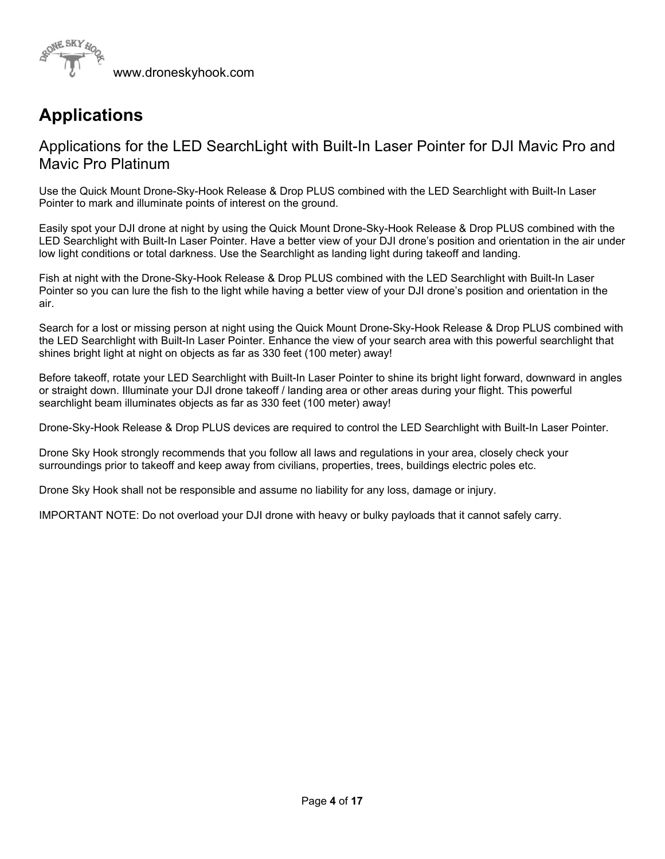

# **Applications**

#### Applications for the LED SearchLight with Built-In Laser Pointer for DJI Mavic Pro and Mavic Pro Platinum

Use the Quick Mount Drone-Sky-Hook Release & Drop PLUS combined with the LED Searchlight with Built-In Laser Pointer to mark and illuminate points of interest on the ground.

Easily spot your DJI drone at night by using the Quick Mount Drone-Sky-Hook Release & Drop PLUS combined with the LED Searchlight with Built-In Laser Pointer. Have a better view of your DJI drone's position and orientation in the air under low light conditions or total darkness. Use the Searchlight as landing light during takeoff and landing.

Fish at night with the Drone-Sky-Hook Release & Drop PLUS combined with the LED Searchlight with Built-In Laser Pointer so you can lure the fish to the light while having a better view of your DJI drone's position and orientation in the air.

Search for a lost or missing person at night using the Quick Mount Drone-Sky-Hook Release & Drop PLUS combined with the LED Searchlight with Built-In Laser Pointer. Enhance the view of your search area with this powerful searchlight that shines bright light at night on objects as far as 330 feet (100 meter) away!

Before takeoff, rotate your LED Searchlight with Built-In Laser Pointer to shine its bright light forward, downward in angles or straight down. Illuminate your DJI drone takeoff / landing area or other areas during your flight. This powerful searchlight beam illuminates objects as far as 330 feet (100 meter) away!

Drone-Sky-Hook Release & Drop PLUS devices are required to control the LED Searchlight with Built-In Laser Pointer.

Drone Sky Hook strongly recommends that you follow all laws and regulations in your area, closely check your surroundings prior to takeoff and keep away from civilians, properties, trees, buildings electric poles etc.

Drone Sky Hook shall not be responsible and assume no liability for any loss, damage or injury.

IMPORTANT NOTE: Do not overload your DJI drone with heavy or bulky payloads that it cannot safely carry.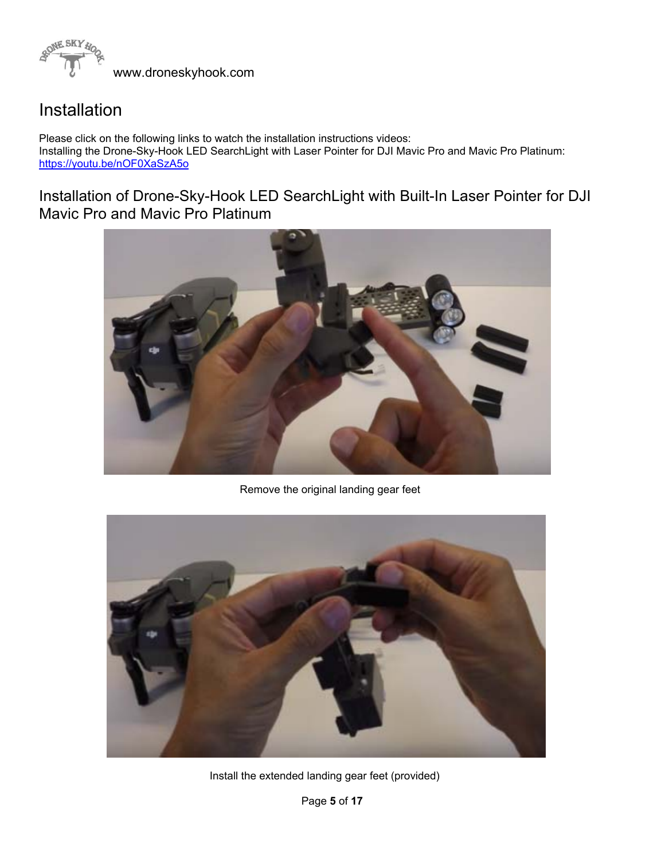

# Installation

Please click on the following links to watch the installation instructions videos: Installing the Drone-Sky-Hook LED SearchLight with Laser Pointer for DJI Mavic Pro and Mavic Pro Platinum: https://youtu.be/nOF0XaSzA5o

## Installation of Drone-Sky-Hook LED SearchLight with Built-In Laser Pointer for DJI Mavic Pro and Mavic Pro Platinum



Remove the original landing gear feet



Install the extended landing gear feet (provided)

Page **5** of **17**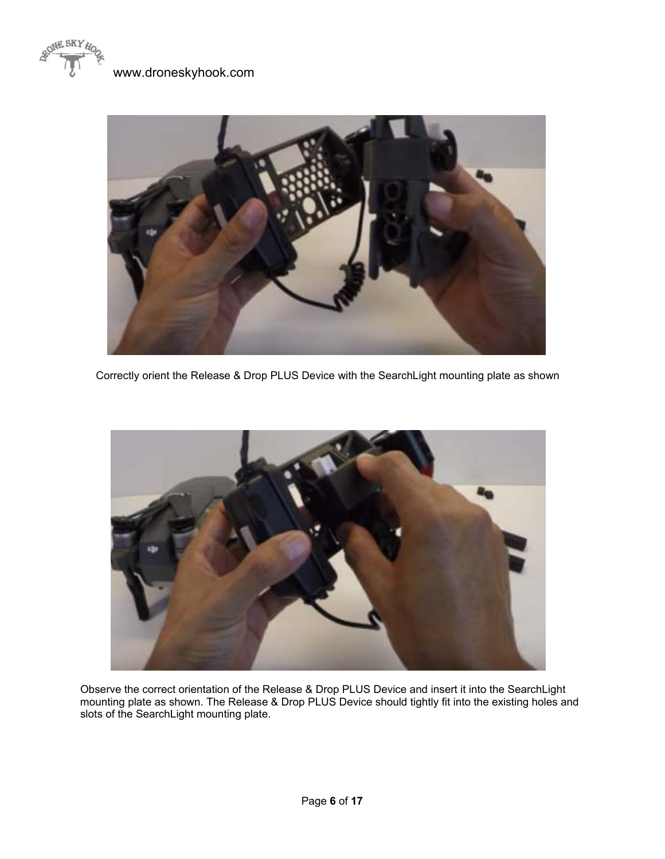



Correctly orient the Release & Drop PLUS Device with the SearchLight mounting plate as shown



Observe the correct orientation of the Release & Drop PLUS Device and insert it into the SearchLight mounting plate as shown. The Release & Drop PLUS Device should tightly fit into the existing holes and slots of the SearchLight mounting plate.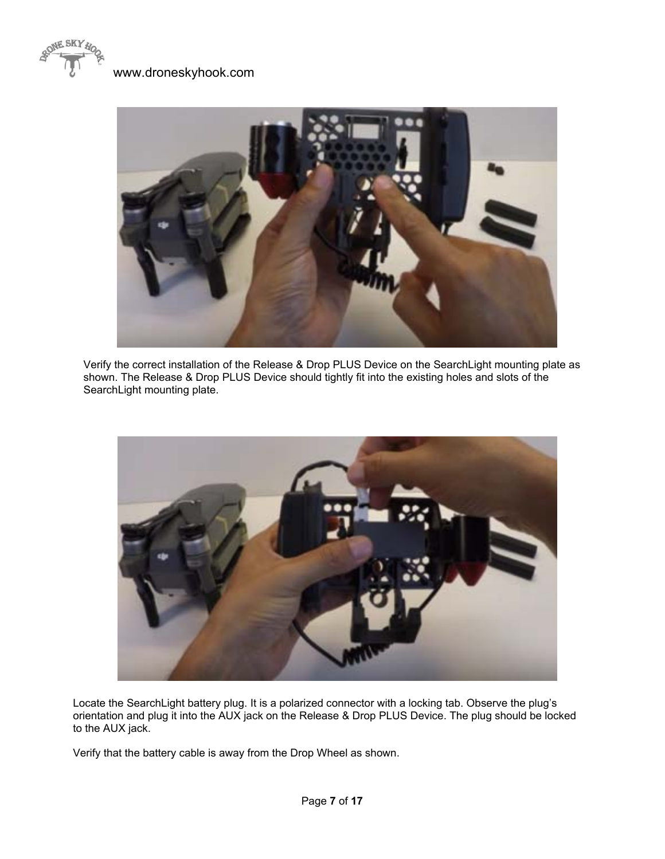



Verify the correct installation of the Release & Drop PLUS Device on the SearchLight mounting plate as shown. The Release & Drop PLUS Device should tightly fit into the existing holes and slots of the SearchLight mounting plate.



Locate the SearchLight battery plug. It is a polarized connector with a locking tab. Observe the plug's orientation and plug it into the AUX jack on the Release & Drop PLUS Device. The plug should be locked to the AUX jack.

Verify that the battery cable is away from the Drop Wheel as shown.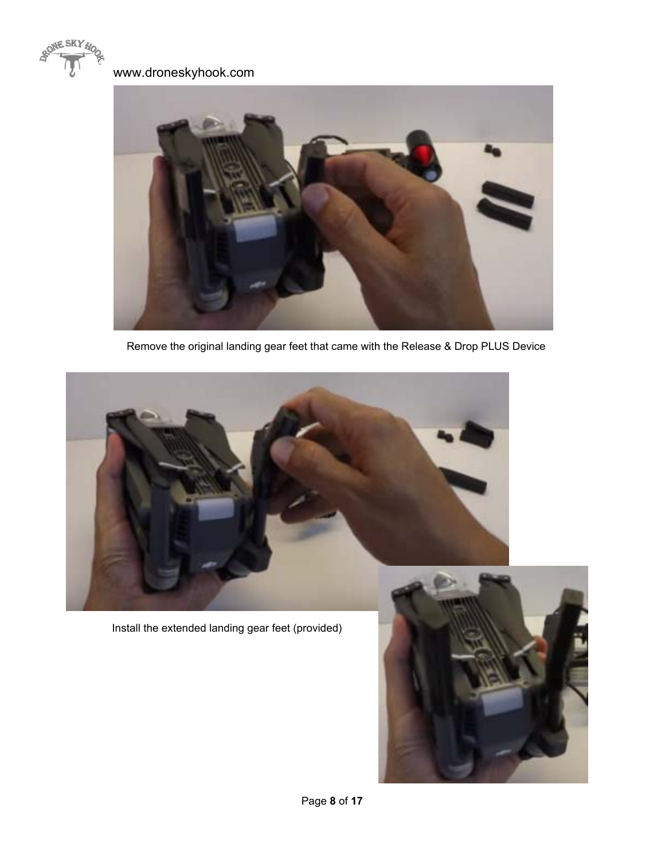



Remove the original landing gear feet that came with the Release & Drop PLUS Device

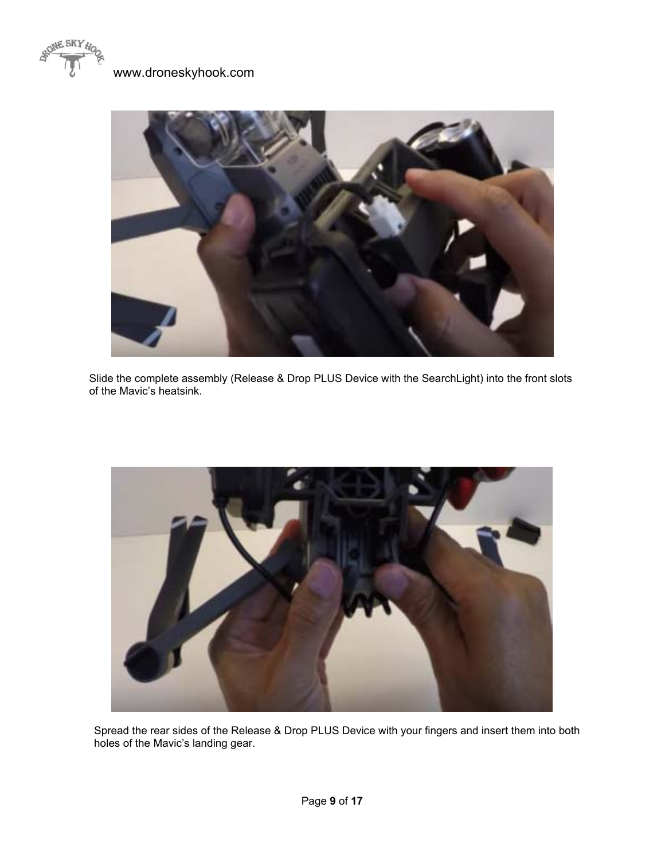



Slide the complete assembly (Release & Drop PLUS Device with the SearchLight) into the front slots of the Mavic's heatsink.



Spread the rear sides of the Release & Drop PLUS Device with your fingers and insert them into both holes of the Mavic's landing gear.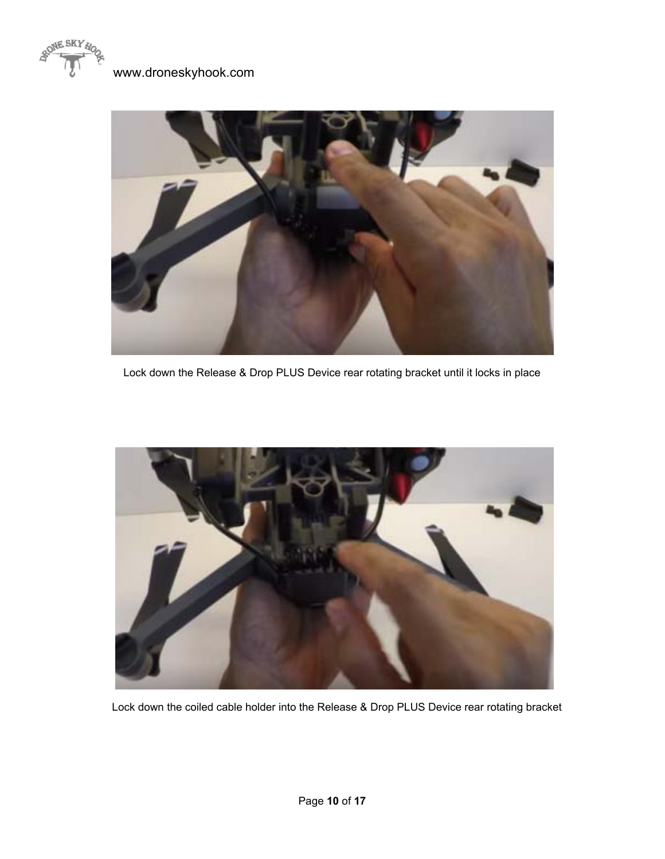



Lock down the Release & Drop PLUS Device rear rotating bracket until it locks in place



Lock down the coiled cable holder into the Release & Drop PLUS Device rear rotating bracket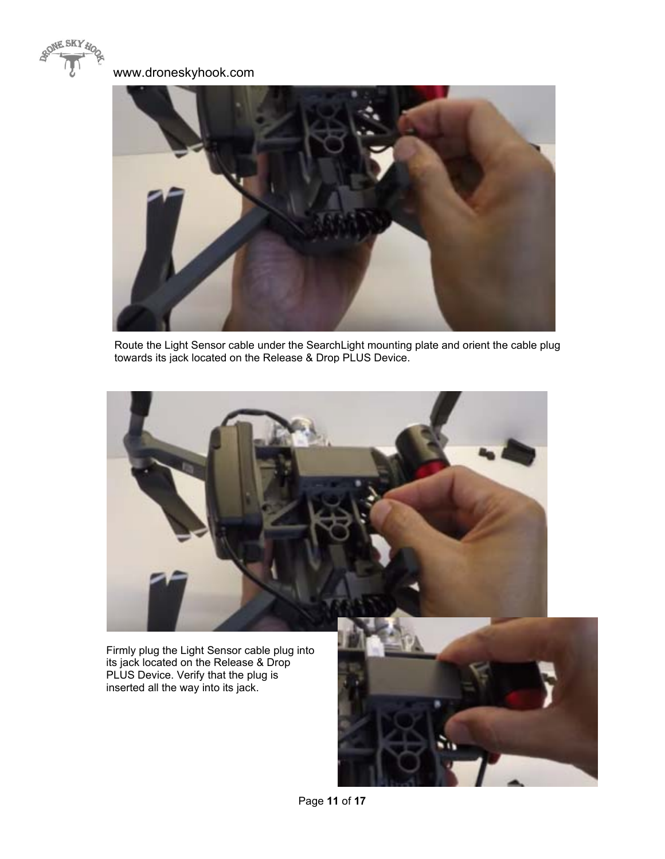



Route the Light Sensor cable under the SearchLight mounting plate and orient the cable plug towards its jack located on the Release & Drop PLUS Device.



Firmly plug the Light Sensor cable plug into its jack located on the Release & Drop PLUS Device. Verify that the plug is inserted all the way into its jack.

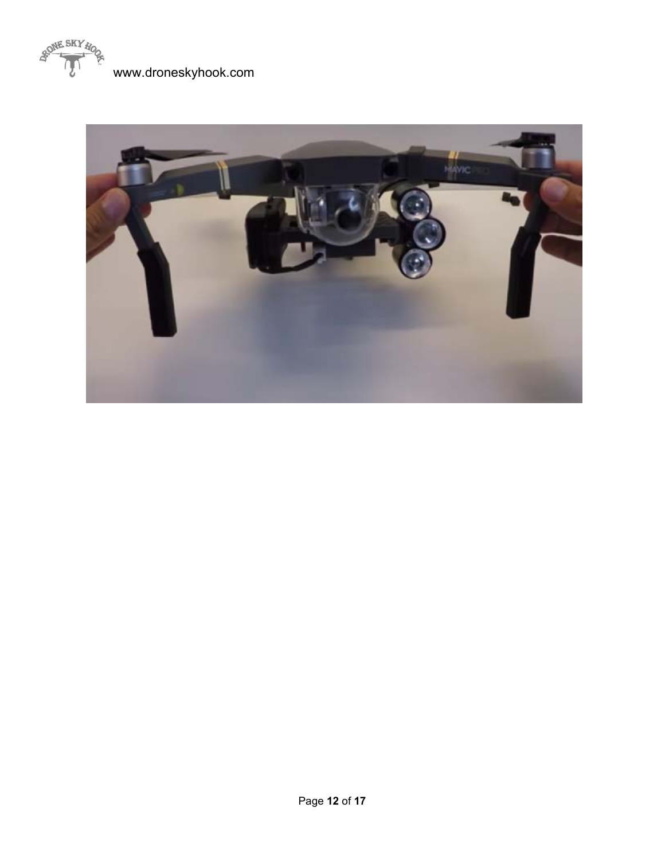

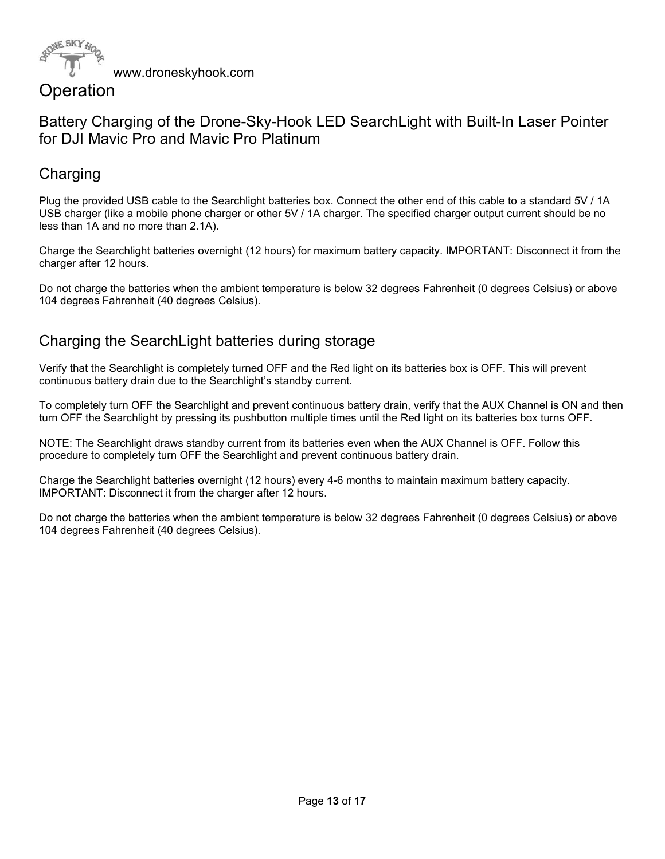

## **Operation**

#### Battery Charging of the Drone-Sky-Hook LED SearchLight with Built-In Laser Pointer for DJI Mavic Pro and Mavic Pro Platinum

# **Charging**

Plug the provided USB cable to the Searchlight batteries box. Connect the other end of this cable to a standard 5V / 1A USB charger (like a mobile phone charger or other 5V / 1A charger. The specified charger output current should be no less than 1A and no more than 2.1A).

Charge the Searchlight batteries overnight (12 hours) for maximum battery capacity. IMPORTANT: Disconnect it from the charger after 12 hours.

Do not charge the batteries when the ambient temperature is below 32 degrees Fahrenheit (0 degrees Celsius) or above 104 degrees Fahrenheit (40 degrees Celsius).

## Charging the SearchLight batteries during storage

Verify that the Searchlight is completely turned OFF and the Red light on its batteries box is OFF. This will prevent continuous battery drain due to the Searchlight's standby current.

To completely turn OFF the Searchlight and prevent continuous battery drain, verify that the AUX Channel is ON and then turn OFF the Searchlight by pressing its pushbutton multiple times until the Red light on its batteries box turns OFF.

NOTE: The Searchlight draws standby current from its batteries even when the AUX Channel is OFF. Follow this procedure to completely turn OFF the Searchlight and prevent continuous battery drain.

Charge the Searchlight batteries overnight (12 hours) every 4-6 months to maintain maximum battery capacity. IMPORTANT: Disconnect it from the charger after 12 hours.

Do not charge the batteries when the ambient temperature is below 32 degrees Fahrenheit (0 degrees Celsius) or above 104 degrees Fahrenheit (40 degrees Celsius).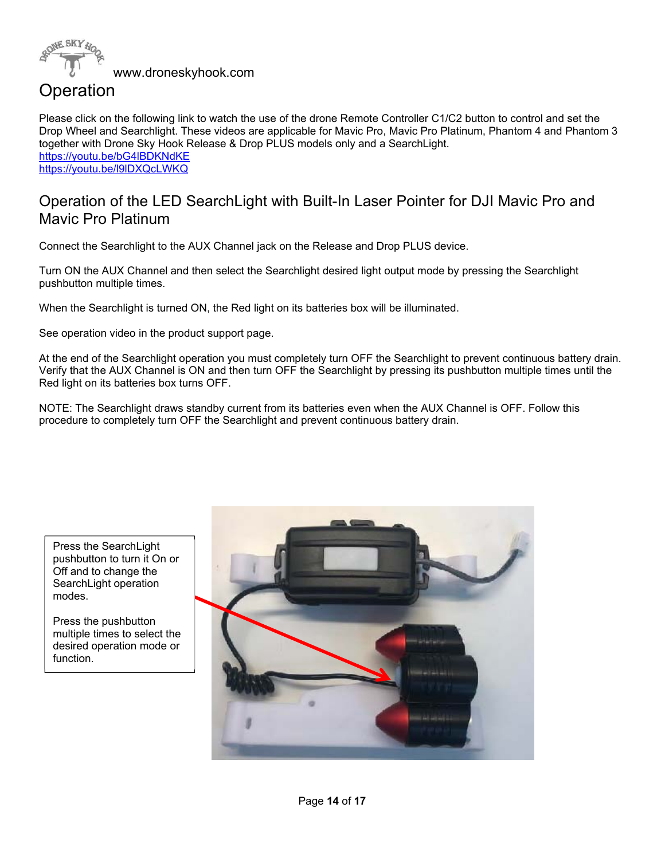

# **Operation**

Please click on the following link to watch the use of the drone Remote Controller C1/C2 button to control and set the Drop Wheel and Searchlight. These videos are applicable for Mavic Pro, Mavic Pro Platinum, Phantom 4 and Phantom 3 together with Drone Sky Hook Release & Drop PLUS models only and a SearchLight. https://youtu.be/bG4lBDKNdKE https://youtu.be/l9lDXQcLWKQ

#### Operation of the LED SearchLight with Built-In Laser Pointer for DJI Mavic Pro and Mavic Pro Platinum

Connect the Searchlight to the AUX Channel jack on the Release and Drop PLUS device.

Turn ON the AUX Channel and then select the Searchlight desired light output mode by pressing the Searchlight pushbutton multiple times.

When the Searchlight is turned ON, the Red light on its batteries box will be illuminated.

See operation video in the product support page.

At the end of the Searchlight operation you must completely turn OFF the Searchlight to prevent continuous battery drain. Verify that the AUX Channel is ON and then turn OFF the Searchlight by pressing its pushbutton multiple times until the Red light on its batteries box turns OFF.

NOTE: The Searchlight draws standby current from its batteries even when the AUX Channel is OFF. Follow this procedure to completely turn OFF the Searchlight and prevent continuous battery drain.



Press the SearchLight pushbutton to turn it On or Off and to change the SearchLight operation modes.

Press the pushbutton multiple times to select the desired operation mode or function.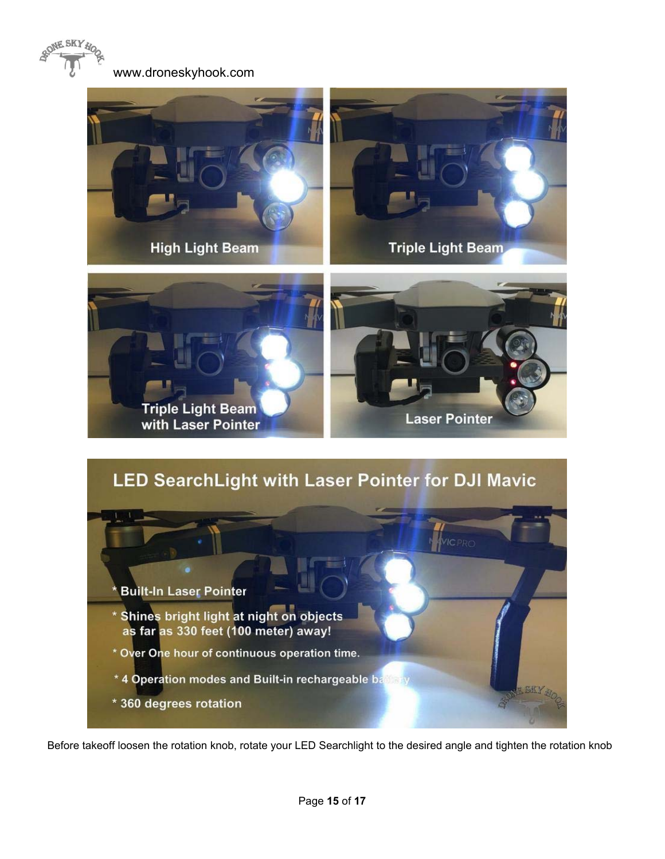





Before takeoff loosen the rotation knob, rotate your LED Searchlight to the desired angle and tighten the rotation knob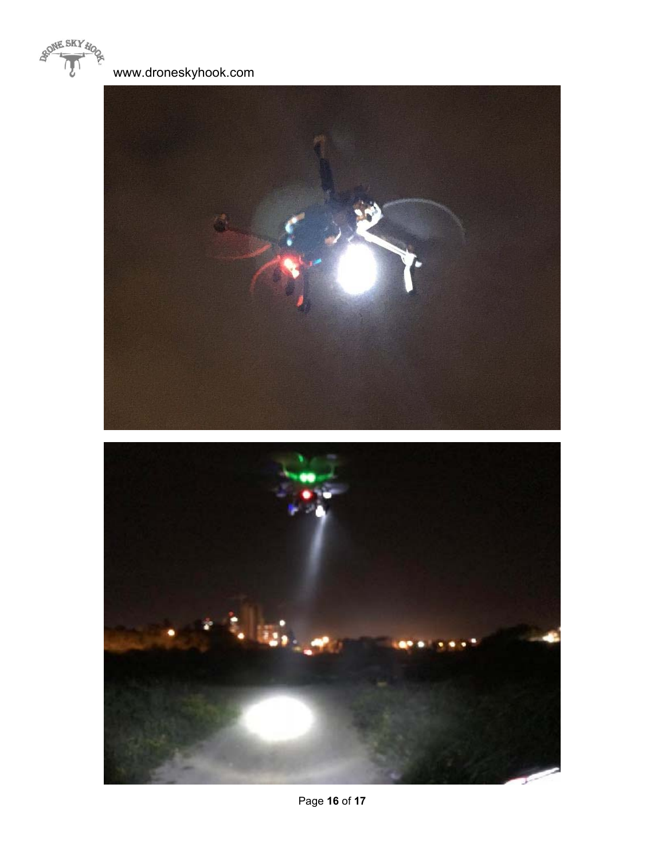